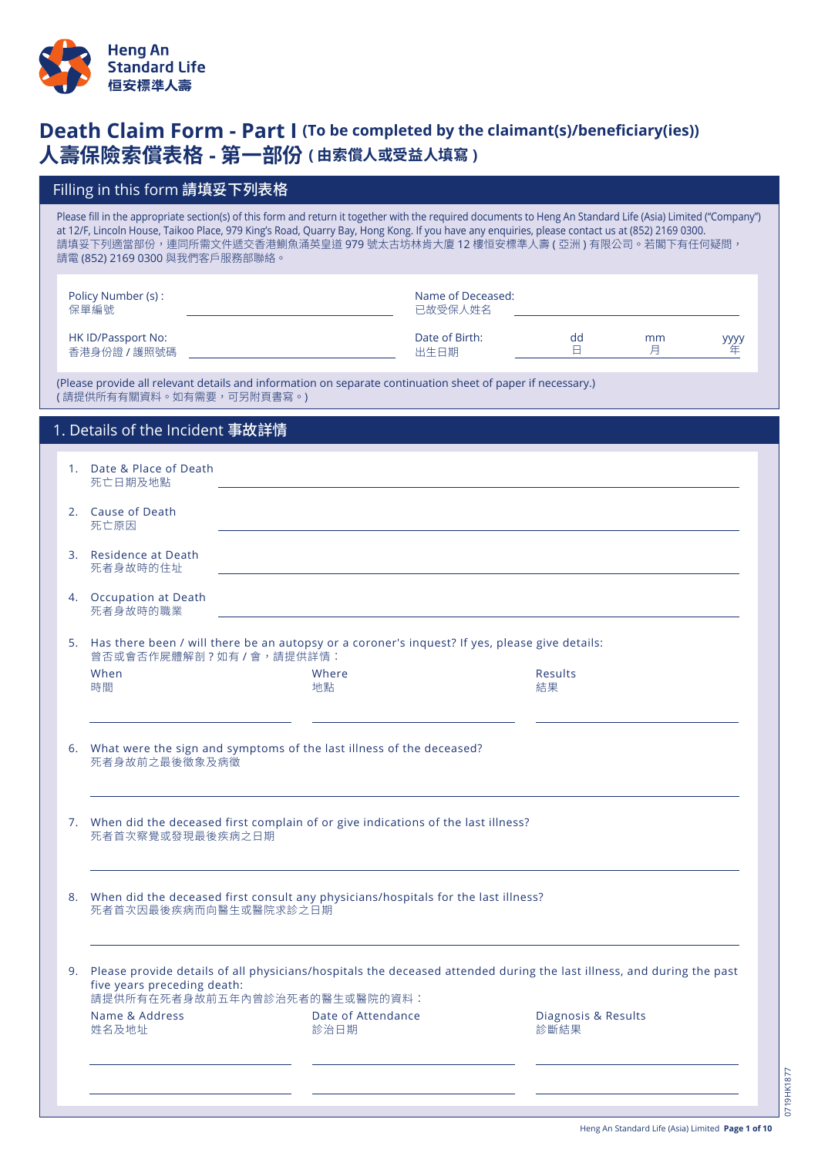

# **Death Claim Form - Part I (To be completed by the claimant(s)/beneficiary(ies)) 人壽保險索償表格 - 第一部份 ( 由索償人或受益人填寫 )**

|    | Filling in this form 請填妥下列表格                                                                                                                                                                                                                                                                                                                                                                                                  |                            |                              |                             |         |                  |
|----|-------------------------------------------------------------------------------------------------------------------------------------------------------------------------------------------------------------------------------------------------------------------------------------------------------------------------------------------------------------------------------------------------------------------------------|----------------------------|------------------------------|-----------------------------|---------|------------------|
|    | Please fill in the appropriate section(s) of this form and return it together with the required documents to Heng An Standard Life (Asia) Limited ("Company")<br>at 12/F, Lincoln House, Taikoo Place, 979 King's Road, Quarry Bay, Hong Kong. If you have any enquiries, please contact us at (852) 2169 0300.<br>請填妥下列適當部份,連同所需文件遞交香港鰂魚涌英皇道 979 號太古坊林肯大廈 12 樓恒安標準人壽 ( 亞洲 ) 有限公司。若閣下有任何疑問,<br>請電 (852) 2169 0300 與我們客戶服務部聯絡。 |                            |                              |                             |         |                  |
|    | Policy Number (s):<br>保單編號                                                                                                                                                                                                                                                                                                                                                                                                    |                            | Name of Deceased:<br>已故受保人姓名 |                             |         |                  |
|    | HK ID/Passport No:<br>香港身份證 / 護照號碼                                                                                                                                                                                                                                                                                                                                                                                            |                            | Date of Birth:<br>出生日期       | dd<br>$\Box$                | mm<br>月 | <b>yyyy</b><br>年 |
|    | (Please provide all relevant details and information on separate continuation sheet of paper if necessary.)<br>(請提供所有有關資料。如有需要,可另附頁書寫。)                                                                                                                                                                                                                                                                                       |                            |                              |                             |         |                  |
|    | 1. Details of the Incident 事故詳情                                                                                                                                                                                                                                                                                                                                                                                               |                            |                              |                             |         |                  |
|    | 1. Date & Place of Death<br>死亡日期及地點                                                                                                                                                                                                                                                                                                                                                                                           |                            |                              |                             |         |                  |
|    | 2. Cause of Death<br>死亡原因                                                                                                                                                                                                                                                                                                                                                                                                     |                            |                              |                             |         |                  |
| 3. | Residence at Death<br>死者身故時的住址                                                                                                                                                                                                                                                                                                                                                                                                |                            |                              |                             |         |                  |
|    | 4. Occupation at Death<br>死者身故時的職業                                                                                                                                                                                                                                                                                                                                                                                            |                            |                              |                             |         |                  |
|    | 5. Has there been / will there be an autopsy or a coroner's inquest? If yes, please give details:<br>曾否或會否作屍體解剖?如有/會,請提供詳情:                                                                                                                                                                                                                                                                                                   |                            |                              |                             |         |                  |
|    | When<br>時間                                                                                                                                                                                                                                                                                                                                                                                                                    | Where<br>地點                |                              | <b>Results</b><br>結果        |         |                  |
| 6. | What were the sign and symptoms of the last illness of the deceased?<br>死者身故前之最後徵象及病徵                                                                                                                                                                                                                                                                                                                                         |                            |                              |                             |         |                  |
|    | 7. When did the deceased first complain of or give indications of the last illness?<br>死者首次察覺或發現最後疾病之日期                                                                                                                                                                                                                                                                                                                       |                            |                              |                             |         |                  |
|    | 8. When did the deceased first consult any physicians/hospitals for the last illness?<br>死者首次因最後疾病而向醫生或醫院求診之日期                                                                                                                                                                                                                                                                                                                |                            |                              |                             |         |                  |
| 9. | Please provide details of all physicians/hospitals the deceased attended during the last illness, and during the past<br>five years preceding death:<br>請提供所有在死者身故前五年內曾診治死者的醫生或醫院的資料:                                                                                                                                                                                                                                         |                            |                              |                             |         |                  |
|    | Name & Address<br>姓名及地址                                                                                                                                                                                                                                                                                                                                                                                                       | Date of Attendance<br>診治日期 |                              | Diagnosis & Results<br>診斷結果 |         |                  |
|    |                                                                                                                                                                                                                                                                                                                                                                                                                               |                            |                              |                             |         |                  |
|    |                                                                                                                                                                                                                                                                                                                                                                                                                               |                            |                              |                             |         |                  |

0719HK1877

0719HK1877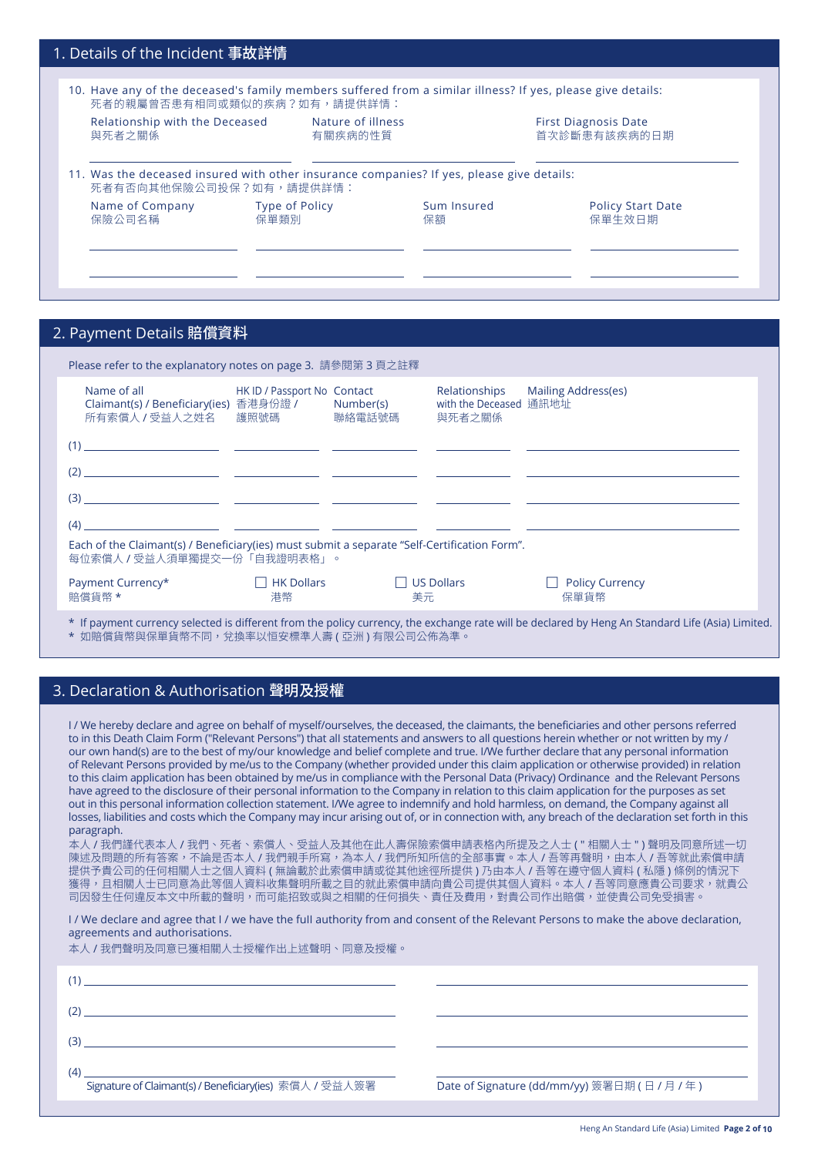| 1. Details of the Incident 事故詳情                                                                                                            |                                                          |                                                                                           |  |  |  |
|--------------------------------------------------------------------------------------------------------------------------------------------|----------------------------------------------------------|-------------------------------------------------------------------------------------------|--|--|--|
| 10. Have any of the deceased's family members suffered from a similar illness? If yes, please give details:<br>死者的親屬曾否患有相同或類似的疾病?如有,請提供詳情: |                                                          |                                                                                           |  |  |  |
| Nature of illness<br>有關疾病的性質                                                                                                               |                                                          | <b>First Diagnosis Date</b><br>首次診斷患有該疾病的日期                                               |  |  |  |
|                                                                                                                                            |                                                          |                                                                                           |  |  |  |
|                                                                                                                                            | Sum Insured<br>保額                                        | <b>Policy Start Date</b><br>保單生效日期                                                        |  |  |  |
|                                                                                                                                            |                                                          |                                                                                           |  |  |  |
|                                                                                                                                            | 死者有否向其他保險公司投保?如有,請提供詳情:<br><b>Type of Policy</b><br>保單類別 | 11. Was the deceased insured with other insurance companies? If yes, please give details: |  |  |  |

### 2. Payment Details 賠償資料

| Please refer to the explanatory notes on page 3. 請參閱第 3 頁之註釋                                                                                                                                                                  |                             |                         |                                                   |                                                                                                                                          |
|-------------------------------------------------------------------------------------------------------------------------------------------------------------------------------------------------------------------------------|-----------------------------|-------------------------|---------------------------------------------------|------------------------------------------------------------------------------------------------------------------------------------------|
| Name of all<br>Claimant(s) / Beneficiary(ies) 香港身份證 / Number(s)<br>所有索償人 / 受益人之姓名   護照號碼                                                                                                                                      | HK ID / Passport No Contact | 聯絡雷話號碼                  | Relationships<br>with the Deceased 通訊地址<br>與死者之關係 | Mailing Address(es)                                                                                                                      |
|                                                                                                                                                                                                                               |                             |                         |                                                   |                                                                                                                                          |
| $(2)$ .<br><u> 1980 - Jan Barristo, martin a</u> filosofo                                                                                                                                                                     |                             |                         |                                                   |                                                                                                                                          |
| $(3)$ and $(4)$ and $(5)$ and $(6)$ and $(7)$ and $(8)$ and $(9)$ and $(10)$ and $(10)$ and $(10)$ and $(10)$ and $(10)$ and $(10)$ and $(10)$ and $(10)$ and $(10)$ and $(10)$ and $(10)$ and $(10)$ and $(10)$ and $(10)$ a |                             |                         |                                                   |                                                                                                                                          |
| (4)<br><u> 1980 - Andrea Andrew Maria (h. 1980).</u><br>1900 - Andrew Maria (h. 1900).                                                                                                                                        |                             |                         |                                                   |                                                                                                                                          |
| Each of the Claimant(s) / Beneficiary(ies) must submit a separate "Self-Certification Form".<br>每位索償人 / 受益人須單獨提交一份「自我證明表格」。                                                                                                   |                             |                         |                                                   |                                                                                                                                          |
| Payment Currency*<br>賠償貨幣 *                                                                                                                                                                                                   | <b>HK Dollars</b><br>港幣     | $\Box$ US Dollars<br>美元 |                                                   | $\Box$ Policy Currency<br>保單貨幣                                                                                                           |
|                                                                                                                                                                                                                               |                             |                         |                                                   | the second and actual to different from the police concerned the certain and conditional and condition Apple Chanded High (Apple Modele) |

If payment currency selected is different from the policy currency, the exchange rate will be declared by Heng An Standard Life (Asia) Limited. \* 如賠償貨幣與保單貨幣不同,兌換率以恒安標準人壽 ( 亞洲 ) 有限公司公佈為準。

### 3. Declaration & Authorisation 聲明及授權

I / we hereby declare and agree on behalf of myself/ourselves, the deceased, the claimants, the beneficiaries and other persons referred to in this Death Claim Form ("Relevant Persons") that alI statements and answers to all questions herein whether or not written by my / our own hand(s) are to the best of my/our knowledge and belief complete and true. I/we further declare that any personal information of Relevant Persons provided by me/us to the Company (whether provided under this claim application or otherwise provided) in relation to this claim application has been obtained by me/us in compliance with the Personal Data (Privacy) Ordinance and the Relevant Persons have agreed to the disclosure of their personal information to the Company in relation to this claim application for the purposes as set out in this personal information collection statement. I/we agree to indemnify and hold harmless, on demand, the Company against all losses, liabilities and costs which the Company may incur arising out of, or in connection with, any breach of the declaration set forth in this paragraph.

本人 / 我們謹代表本人 / 我們、死者、索償人、受益人及其他在此人壽保險索償申請表格內所提及之人士 ( " 相關人士 " ) 聲明及同意所述一切 陳述及問題的所有答案,不論是否本人 / 我們親手所寫,為本人 / 我們所知所信的全部事實。本人 / 吾等再聲明,由本人 / 吾等就此索償申請 提供予貴公司的任何相關人士之個人資料 ( 無論載於此索償申請或從其他途徑所提供 ) 乃由本人 / 吾等在遵守個人資料 ( 私隱 ) 條例的情況下 獲得,且相關人士已同意為此等個人資料收集聲明所載之目的就此索償申請向貴公司提供其個人資料。本人 / 吾等同意應貴公司要求,就貴公 司因發生仕何違反本又中所載的聲明,而可能招致或與之相關的仕何損矢、責仕及費用,對責公司作出賠償,亚使責公司免受損害。

I / We declare and agree that I / we have the full authority from and consent of the Relevant Persons to make the above declaration, agreements and authorisations.

本人 / 我們聲明及同意已獲相關人士授權作出上述聲明、同意及授權。

| (1)<br><u> 1989 - Johann Stein, mars an deutscher Stein und der Stein und der Stein und der Stein und der Stein und der</u> |                                               |
|-----------------------------------------------------------------------------------------------------------------------------|-----------------------------------------------|
| <u> 1989 - Andrea Andrew Maria (h. 1989).</u>                                                                               |                                               |
|                                                                                                                             |                                               |
| <u> 1989 - Johann John Stone, Amerikaansk politiker († 1908)</u><br>Signature of Claimant(s) / Beneficiary(ies) 索償人 / 受益人簽署 | Date of Signature (dd/mm/yy) 簽署日期 (日 / 月 / 年) |
|                                                                                                                             |                                               |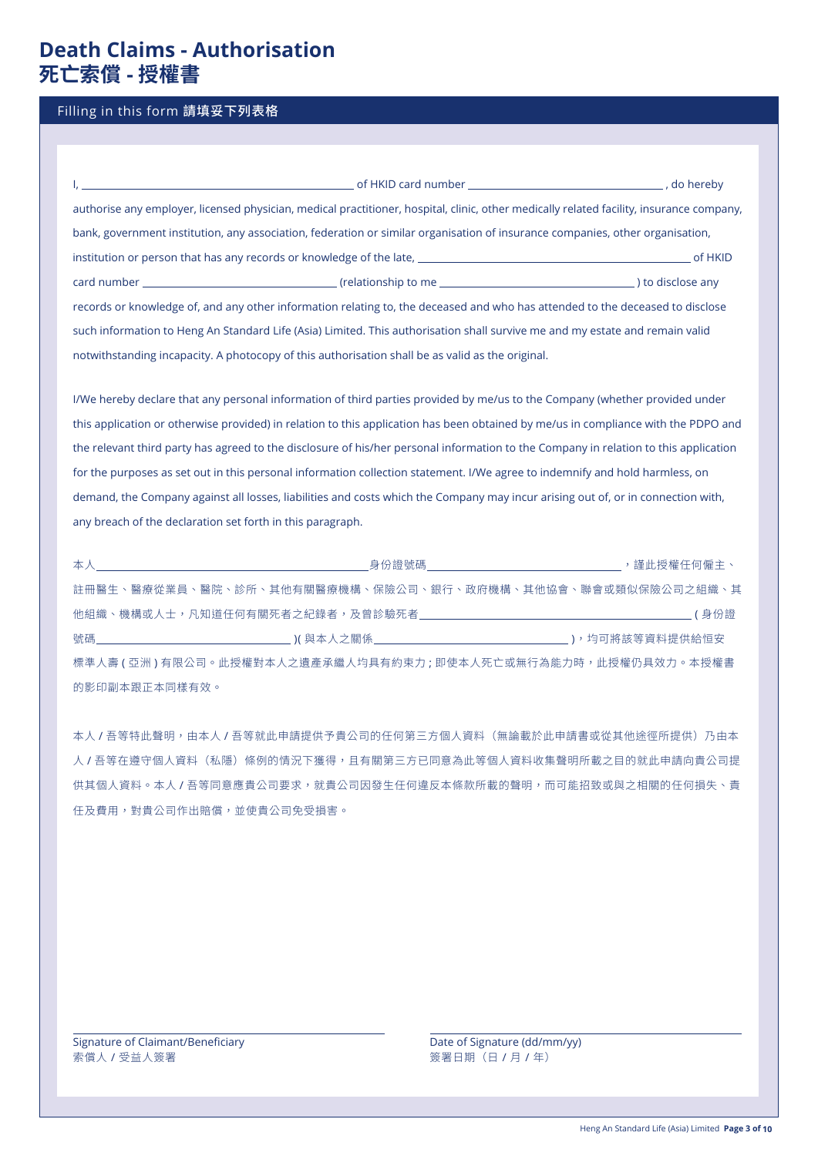# **Death Claims - Authorisation 死亡索償 - 授權書**

#### Filling in this form 請填妥下列表格

|                                                                                                  | authorise any employer, licensed physician, medical practitioner, hospital, clinic, other medically related facility, insurance company, |  |
|--------------------------------------------------------------------------------------------------|------------------------------------------------------------------------------------------------------------------------------------------|--|
|                                                                                                  | bank, government institution, any association, federation or similar organisation of insurance companies, other organisation,            |  |
|                                                                                                  |                                                                                                                                          |  |
|                                                                                                  |                                                                                                                                          |  |
|                                                                                                  | records or knowledge of, and any other information relating to, the deceased and who has attended to the deceased to disclose            |  |
|                                                                                                  | such information to Heng An Standard Life (Asia) Limited. This authorisation shall survive me and my estate and remain valid             |  |
| notwithstanding incapacity. A photocopy of this authorisation shall be as valid as the original. |                                                                                                                                          |  |

I/we hereby declare that any personal information of third parties provided by me/us to the Company (whether provided under this application or otherwise provided) in relation to this application has been obtained by me/us in compliance with the PDPO and the relevant third party has agreed to the disclosure of his/her personal information to the Company in relation to this application for the purposes as set out in this personal information collection statement. I/we agree to indemnify and hold harmless, on demand, the Company against all losses, liabilities and costs which the Company may incur arising out of, or in connection with, any breach of the declaration set forth in this paragraph.

|               | 註冊醫生、醫療從業員、醫院、診所、其他有關醫療機構、保險公司、銀行、政府機構、其他協會、聯會或類似保險公司之組織、其       |  |
|---------------|------------------------------------------------------------------|--|
|               |                                                                  |  |
|               |                                                                  |  |
|               | 標準人壽 ( 亞洲 ) 有限公司。此授權對本人之遺產承繼人均具有約束力 ; 即使本人死亡或無行為能力時,此授權仍具效力。本授權書 |  |
| 的影印副本跟正本同樣有效。 |                                                                  |  |

本人 / 吾等特此聲明,由本人 / 吾等就此申請提供予貴公司的任何第三方個人資料(無論載於此申請書或從其他途徑所提供)乃由本 人 / 吾等在遵守個人資料(私隱)條例的情況下獲得,且有關第三方已同意為此等個人資料收集聲明所載之目的就此申請向貴公司提 供其個人資料。本人 / 吾等同意應貴公司要求,就貴公司因發生任何違反本條款所載的聲明,而可能招致或與之相關的任何損失、責 任及費用,對貴公司作出賠償,並使貴公司免受損害。

Signature of Claimant/Beneficiary **Date of Signature (dd/mm/yy)** Date of Signature (dd/mm/yy) 索償人 / 受益人簽署 まんじょう まんじょう インタン (日 / 月 / 年)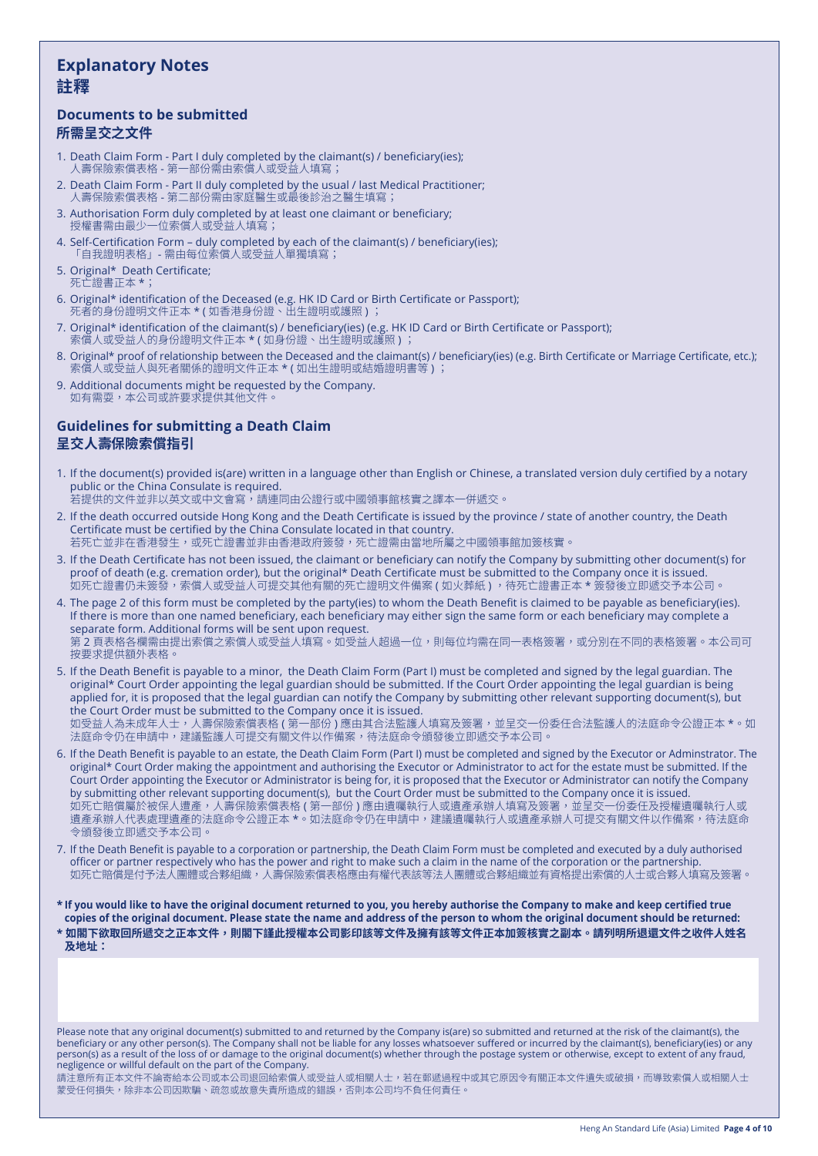## **Explanatory Notes 註釋**

### **Documents to be submitted 所需呈交之文件**

- 1. Death Claim Form Part I duly completed by the claimant(s) / beneficiary(ies); 人壽保險索償表格 - 第一部份需由索償人或受益人填寫;
- 2. Death Claim Form Part II duly completed by the usual / last Medical Practitioner; 人壽保險索償表格 - 第二部份需由家庭醫生或最後診治之醫生填寫;
- 3. Authorisation Form duly completed by at least one claimant or beneficiary; 授權書需由最少一位索償人或受益人填寫;
- 4. Self-Certification Form duly completed by each of the claimant(s) / beneficiary(ies); 「自我證明表格」- 需由每位索償人或受益人單獨填寫;
- 5. Original\* Death Certificate; 死亡證書正本 \*;
- 6. Original\* identification of the Deceased (e.g. HK ID Card or Birth Certificate or Passport); 死者的身份證明文件正本 \* ( 如香港身份證、出生證明或護照 ) ;
- 7. Original\* identification of the claimant(s) / beneficiary(ies) (e.g. HK ID Card or Birth Certificate or Passport); 索償人或受益人的身份證明文件正本 \* ( 如身份證、出生證明或護照 ) ;
- 8. Original\* proof of relationship between the Deceased and the claimant(s) / beneficiary(ies) (e.g. Birth Certificate or Marriage Certificate, etc.); 索償人或受益人與死者關係的證明文件正本 \* ( 如出生證明或結婚證明書等 ) ;
- 9. Additional documents might be requested by the Company. 如有需耍,本公司或許要求提供其他文件。

### **Guidelines for submitting a Death Claim 呈交人壽保險索償指引**

- 1. If the document(s) provided is(are) written in a language other than English or Chinese, a translated version duly certified by a notary public or the China Consulate is required.
- 若提供的文件並非以英文或中文會寫,請連同由公證行或中國領事館核實之譯本一併遞交。
- 2. If the death occurred outside Hong Kong and the Death Certificate is issued by the province / state of another country, the Death Certificate must be certified by the China Consulate located in that country. 若死亡並非在香港發生,或死亡證書並非由香港政府簽發,死亡證需由當地所屬之中國領事館加簽核實。
- 3. If the Death Certificate has not been issued, the claimant or beneficiary can notify the Company by submitting other document(s) for proof of death (e.g. cremation order), but the original\* Death Certificate must be submitted to the Company once it is issued. ,<br>如死亡證書仍未簽發,索償人或受益人可提交其他有關的死亡證明文件備案 ( 如火葬紙 ) ,待死亡證書正本 \* 簽發後立即遞交予本公司。
- 4. The page 2 of this form must be completed by the party(ies) to whom the Death Benefit is claimed to be payable as beneficiary(ies). If there is more than one named beneficiary, each beneficiary may either sign the same form or each beneficiary may complete a separate form. Additional forms will be sent upon request.

第 2 頁表格各欄需由提出索償之索償人或受益人填寫。如受益人超過一位,則每位均需在同一表格簽署,或分別在不同的表格簽署。本公司可 按要求提供額外表格。

- 5. If the Death Benefit is payable to a minor, the Death Claim Form (Part I) must be completed and signed by the legal guardian. The original\* Court Order appointing the legal guardian should be submitted. If the Court Order appointing the legal guardian is being applied for, it is proposed that the legal guardian can notify the Company by submitting other relevant supporting document(s), but the Court Order must be submitted to the Company once it is issued. 如受益人為未成年人士,人壽保險索償表格 ( 第一部份 ) 應由其合法監護人填寫及簽署,並呈交一份委任合法監護人的法庭命令公證正本 \*。如 法庭命令仍在申請中,建議監護人可提交有關文件以作備案,待法庭命令頒發後立即遞交予本公司。
- 6. If the Death Benefit is payable to an estate, the Death Claim Form (Part I) must be completed and signed by the Executor or Adminstrator. The original\* Court Order making the appointment and authorising the Executor or Administrator to act for the estate must be submitted. If the Court Order appointing the Executor or Administrator is being for, it is proposed that the Executor or Administrator can notify the Company by submitting other relevant supporting document(s), but the Court Order must be submitted to the Company once it is issued. 如死亡賠償屬於被保人遭產,人壽保險索償表格 ( 第一部份 ) 應由遺囑執行人或遺產承辦人填寫及簽署,並呈交一份委任及授權遺囑執行人或 遺產承辦人代表處理遺產的法庭命令公證正本 \*。如法庭命令仍在申請中,建議遺囑執行人或遺產承辦人可提交有關文件以作備案,待法庭命 令頒發後立即遞交予本公司。
- 7. If the Death Benefit is payable to a corporation or partnership, the Death Claim Form must be completed and executed by a duly authorised officer or partner respectively who has the power and right to make such a claim in the name of the corporation or the partnership. 如死亡賠償是付予法人團體或合夥組織,人壽保險索償表格應由有權代表該等法人團體或合夥組織並有資格提出索償的人士或合夥人填寫及簽署。
- **\* If you would like to have the original document returned to you, you hereby authorise the Company to make and keep certified true copies of the original document. Please state the name and address of the person to whom the original document should be returned:**
- **\* 如閣下欲取回所遞交之正本文件,則閣下謹此授權本公司影印該等文件及擁有該等文件正本加簽核實之副本。請列明所退還文件之收件人姓名 及地址:**

Please note that any original document(s) submitted to and returned by the Company is(are) so submitted and returned at the risk of the claimant(s), the beneficiary or any other person(s). The Company shall not be liable for any losses whatsoever suffered or incurred by the claimant(s), beneficiary(ies) or any person(s) as a result of the loss of or damage to the original document(s) whether through the postage system or otherwise, except to extent of any fraud, negligence or willful default on the part of the Company.

請注意所有正本文件不論寄給本公司或本公司退回給索償人或受益人或相關人士,若在郵遞過程中或其它原因令有關正本文件遺失或破損,而導致索償人或相關人士 蒙受任何損失,除非本公司因欺騙、疏忽或故意失責所造成的錯誤,否則本公司均不負任何責任。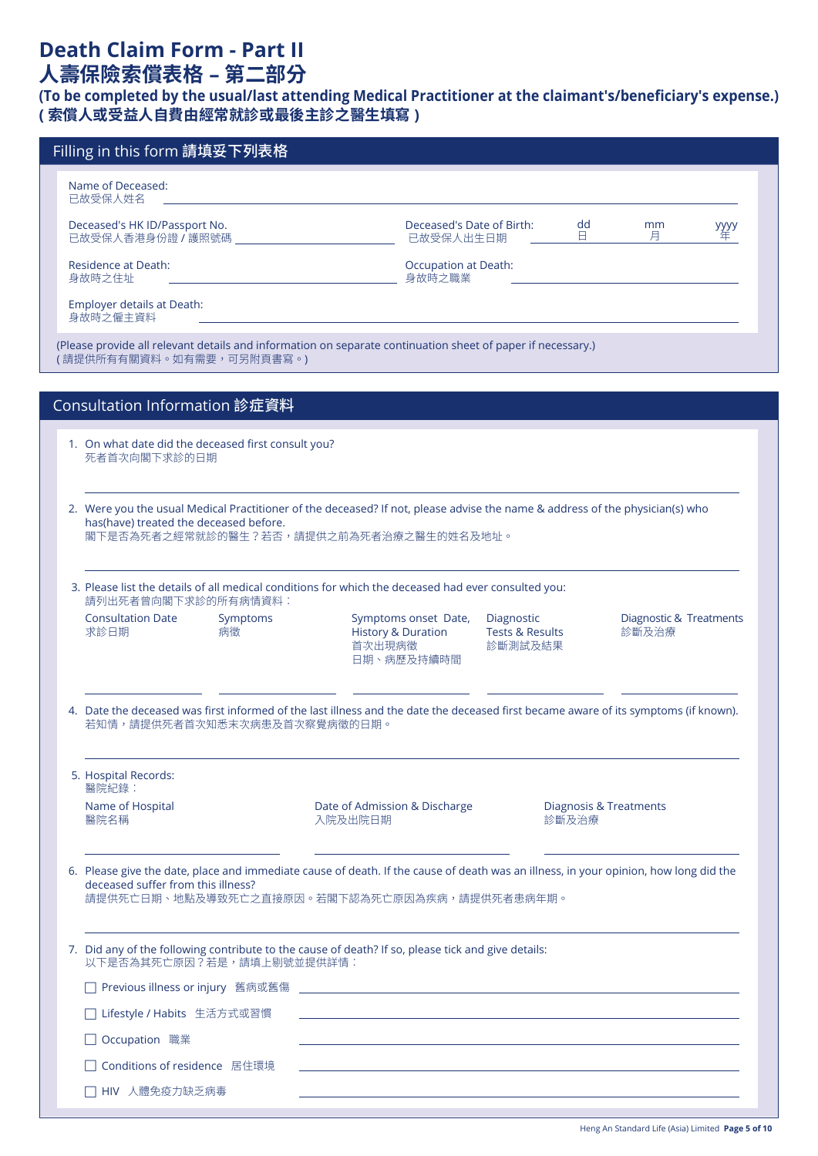# **Death Claim Form - Part II 人壽保險索償表格 – 第二部分**

## **(To be completed by the usual/last attending Medical Practitioner at the claimant's/beneficiary's expense.) ( 索償人或受益人自費由經常就診或最後主診之醫生填寫 )**

| Filling in this form 請填妥下列表格                                                                                               |                                                                                                                                                                                      |                                            |                                  |      |  |  |
|----------------------------------------------------------------------------------------------------------------------------|--------------------------------------------------------------------------------------------------------------------------------------------------------------------------------------|--------------------------------------------|----------------------------------|------|--|--|
| Name of Deceased:<br>已故受保人姓名                                                                                               |                                                                                                                                                                                      |                                            |                                  |      |  |  |
| Deceased's HK ID/Passport No.<br>已故受保人香港身份證 / 護照號碼                                                                         | Deceased's Date of Birth:<br>已故受保人出生日期                                                                                                                                               | dd<br>В.                                   | mm<br>月                          | уууу |  |  |
| <b>Residence at Death:</b><br>身故時之住址                                                                                       | <b>Occupation at Death:</b><br>身故時之職業                                                                                                                                                |                                            |                                  |      |  |  |
| Employer details at Death:<br>身故時之僱主資料                                                                                     |                                                                                                                                                                                      |                                            |                                  |      |  |  |
| (請提供所有有關資料。如有需要,可另附頁書寫。)                                                                                                   | (Please provide all relevant details and information on separate continuation sheet of paper if necessary.)                                                                          |                                            |                                  |      |  |  |
|                                                                                                                            |                                                                                                                                                                                      |                                            |                                  |      |  |  |
| Consultation Information 診症資料                                                                                              |                                                                                                                                                                                      |                                            |                                  |      |  |  |
| 1. On what date did the deceased first consult you?<br>死者首次向閣下求診的日期                                                        |                                                                                                                                                                                      |                                            |                                  |      |  |  |
|                                                                                                                            |                                                                                                                                                                                      |                                            |                                  |      |  |  |
| has(have) treated the deceased before.<br>閣下是否為死者之經常就診的醫生?若否,請提供之前為死者治療之醫生的姓名及地址。                                          | 2. Were you the usual Medical Practitioner of the deceased? If not, please advise the name & address of the physician(s) who                                                         |                                            |                                  |      |  |  |
| 3. Please list the details of all medical conditions for which the deceased had ever consulted you:<br>請列出死者曾向閣下求診的所有病情資料: |                                                                                                                                                                                      |                                            |                                  |      |  |  |
| <b>Consultation Date</b><br>Symptoms<br>求診日期<br>病徵                                                                         | Symptoms onset Date,<br>Diagnostic<br><b>Tests &amp; Results</b><br><b>History &amp; Duration</b><br>首次出現病徵<br>診斷測試及結果<br>日期、病歷及持續時間                                                 |                                            | Diagnostic & Treatments<br>診斷及治療 |      |  |  |
| 若知情,請提供死者首次知悉末次病患及首次察覺病徵的日期。                                                                                               | 4. Date the deceased was first informed of the last illness and the date the deceased first became aware of its symptoms (if known).                                                 |                                            |                                  |      |  |  |
| 5. Hospital Records:<br>醫院紀錄:                                                                                              |                                                                                                                                                                                      |                                            |                                  |      |  |  |
| Name of Hospital<br>醫院名稱                                                                                                   | Date of Admission & Discharge<br>入院及出院日期                                                                                                                                             | <b>Diagnosis &amp; Treatments</b><br>診斷及治療 |                                  |      |  |  |
| deceased suffer from this illness?                                                                                         | 6. Please give the date, place and immediate cause of death. If the cause of death was an illness, in your opinion, how long did the<br>請提供死亡日期、地點及導致死亡之直接原因。若閣下認為死亡原因為疾病,請提供死者患病年期。 |                                            |                                  |      |  |  |
| 以下是否為其死亡原因?若是,請填上剔號並提供詳情:                                                                                                  | 7. Did any of the following contribute to the cause of death? If so, please tick and give details:                                                                                   |                                            |                                  |      |  |  |
| Previous illness or injury 舊病或舊傷                                                                                           |                                                                                                                                                                                      |                                            |                                  |      |  |  |
|                                                                                                                            |                                                                                                                                                                                      |                                            |                                  |      |  |  |
| Lifestyle / Habits 生活方式或習慣                                                                                                 |                                                                                                                                                                                      |                                            |                                  |      |  |  |
| Occupation 職業<br>Conditions of residence 居住環境                                                                              |                                                                                                                                                                                      |                                            |                                  |      |  |  |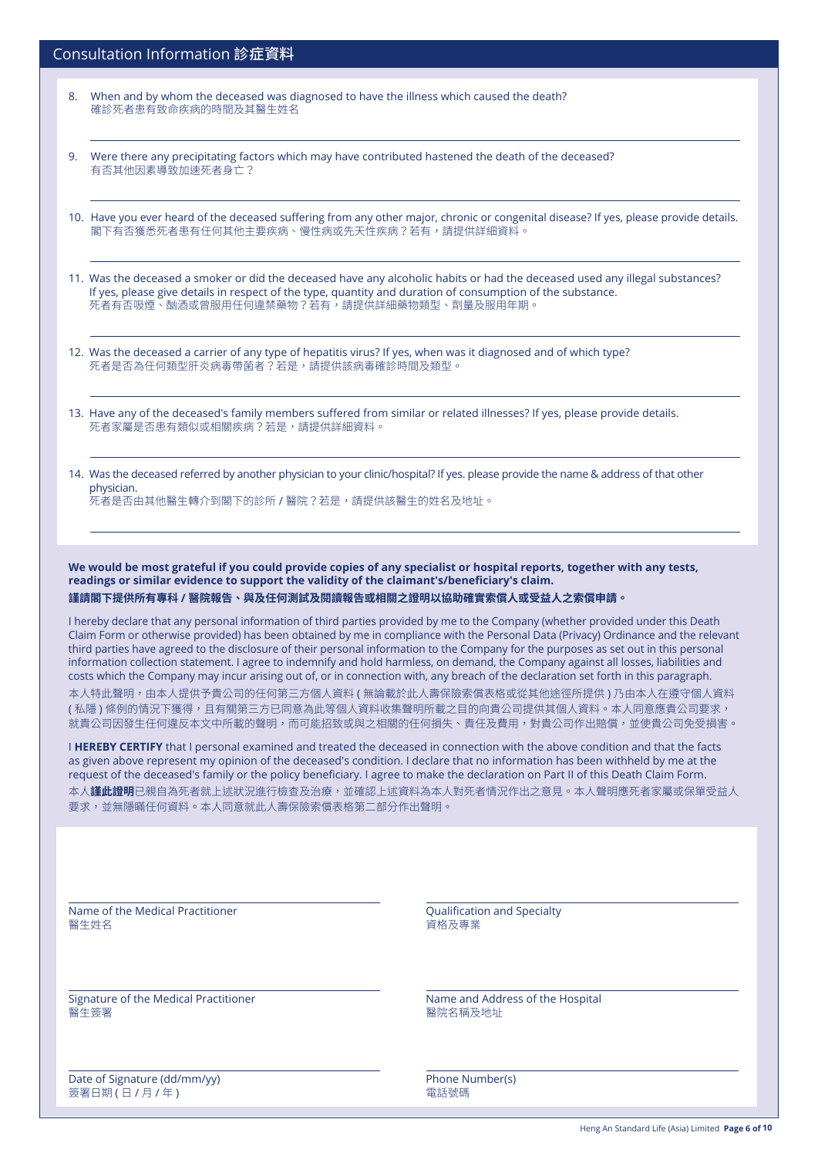| Consultation Information 診症資料 |  |  |
|-------------------------------|--|--|
|-------------------------------|--|--|

- 8. when and by whom the deceased was diagnosed to have the illness which caused the death? 確診死者患有致命疾病的時間及其醫生姓名
- 9. were there any precipitating factors which may have contributed hastened the death of the deceased? 有否其他因素導致加速死者身亡?
- 10. Have you ever heard of the deceased suffering from any other major, chronic or congenital disease? If yes, please provide details. 閣下有否獲悉死者患有任何其他主要疾病、慢性病或先天性疾病?若有,請提供詳細資料。
- 11. was the deceased a smoker or did the deceased have any alcoholic habits or had the deceased used any illegal substances? If yes, please give details in respect of the type, quantity and duration of consumption of the substance. 死者有否吸煙、酗酒或曾服用任何違禁藥物?若有,請提供詳細藥物類型、劑量及服用年期。
- 12. was the deceased a carrier of any type of hepatitis virus? If yes, when was it diagnosed and of which type? 死者是否為任何類型肝炎病毒帶菌者?若是,請提供該病毒確診時間及類型。
- 13. Have any of the deceased's family members suffered from similar or related illnesses? If yes, please provide details. 死者家屬是否患有類似或相關疾病?若是,請提供詳細資料。
- 14. was the deceased referred by another physician to your clinic/hospital? If yes. please provide the name & address of that other physician.

死者是否由其他醫生轉介到閣下的診所 / 醫院?若是,請提供該醫生的姓名及地址。

**We would be most grateful if you could provide copies of any specialist or hospital reports, together with any tests, readings or similar evidence to support the validity of the claimant's/beneficiary's claim. 謹請閣下提供所有專科 / 醫院報告、與及任何測試及閱讀報告或相關之證明以協助確實索償人或受益人之索償申請。**

I hereby declare that any personal information of third parties provided by me to the Company (whether provided under this Death Claim Form or otherwise provided) has been obtained by me in compliance with the Personal Data (Privacy) Ordinance and the relevant third parties have agreed to the disclosure of their personal information to the Company for the purposes as set out in this personal information collection statement. I agree to indemnify and hold harmless, on demand, the Company against all losses, liabilities and costs which the Company may incur arising out of, or in connection with, any breach of the declaration set forth in this paragraph. 本人特此聲明,由本人提供予貴公司的任何第三方個人資料 ( 無論載於此人壽保險索償表格或從其他途徑所提供 ) 乃由本人在遵守個人資料 ( 私隱 ) 條例的情況下獲得,且有關第三方已同意為此等個人資料收集聲明所載之目的向貴公司提供其個人資料。本人同意應貴公司要求, 就貴公司因發生任何違反本文中所載的聲明,而可能招致或與之相關的任何損失、責任及費用,對貴公司作出賠償,並使貴公司免受損害。

I **HEREBY CERTIFY** that I personal examined and treated the deceased in connection with the above condition and that the facts as given above represent my opinion of the deceased's condition. I declare that no information has been withheld by me at the request of the deceased's family or the policy beneficiary. I agree to make the declaration on Part II of this Death Claim Form. 本人**謹此證明**已親自為死者就上述狀況進行檢查及治療,並確認上述資料為本人對死者情況作出之意見。本人聲明應死者家屬或保單受益人 要求,並無隱瞞任何資料。本人同意就此人壽保險索償表格第二部分作出聲明。

Name of the Medical Practitioner Qualification and Specialty 醫生姓名 資格及專業

Signature of the Medical Practitioner Name and Address of the Hospital Address of the Hospital **醫生簽署 精神 医神经病 医血管** 医血管 医血管 医心包性 医心包性 医心包性 医心包性

Date of Signature (dd/mm/yy) example the state of Signature (dd/mm/yy) and the state of Signature (dd/mm/yy) (簽署日期 ( 日 / 月 / 年 ) インタン インタン しゅうしゅうしゅぎょう おおうちょう 電話號碼 かいりょう こくしょう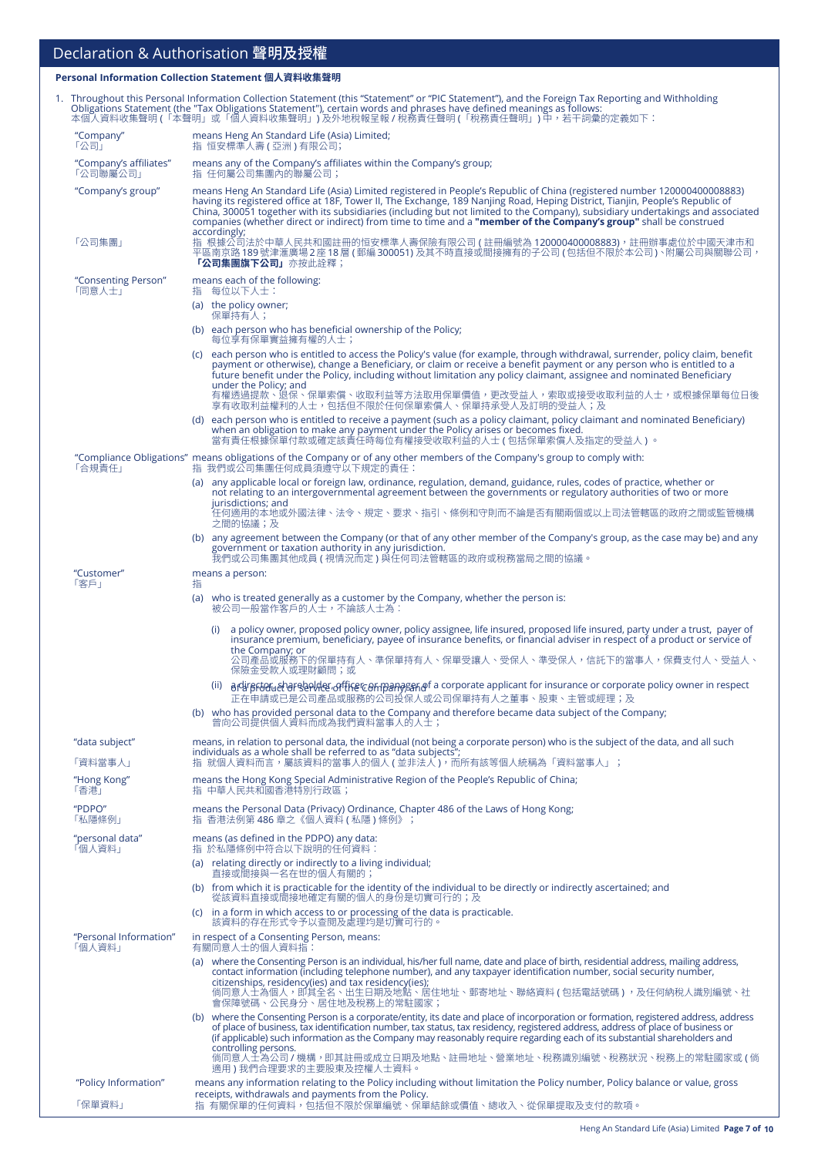## Declaration & Authorisation 聲明及授權

#### **Personal Information Collection Statement 個人資料收集聲明**

|                                    | 1. Throughout this Personal Information Collection Statement (this "Statement" or "PIC Statement"), and the Foreign Tax Reporting and Withholding<br>Obligations Statement (the "Tax Obligations Statement"), certain words and phrases have defined meanings as follows:<br>本個人資料收集聲明 (「本聲明」或「個人資料收集聲明」) 及外地稅報呈報 / 稅務責任聲明 (「稅務責任聲明」) 中,若干詞彙的定義如下:                                                                                                                                                                               |
|------------------------------------|----------------------------------------------------------------------------------------------------------------------------------------------------------------------------------------------------------------------------------------------------------------------------------------------------------------------------------------------------------------------------------------------------------------------------------------------------------------------------------------------------------------------------------|
| "Company"<br>「公司」                  | means Heng An Standard Life (Asia) Limited;<br>指 恒安標準人壽(亞洲)有限公司;                                                                                                                                                                                                                                                                                                                                                                                                                                                                 |
| "Company's affiliates"<br>「公司聯屬公司」 | means any of the Company's affiliates within the Company's group;<br>指 任何屬公司集團內的聯屬公司;                                                                                                                                                                                                                                                                                                                                                                                                                                            |
| "Company's group"                  | means Heng An Standard Life (Asia) Limited registered in People's Republic of China (registered number 120000400008883)<br>having its registered office at 18F, Tower II, The Exchange, 189 Nanjing Road, Heping District, Tianjin, People's Republic of<br>China, 300051 together with its subsidiaries (including but not limited to the Company), subsidiary undertakings and associated<br>companies (whether direct or indirect) from time to time and a "member of the Company's group" shall be construed<br>accordingly; |
| 「公司集團」                             | 指 根據公司法於中華人民共和國註冊的恒安標準人壽保險有限公司 ( 註冊編號為 120000400008883),註冊辦事處位於中國天津市和<br>平區南京路 189 號津滙廣場 2 座 18 層 ( 郵編 300051) 及其不時直接或間接擁有的子公司 ( 包括但不限於本公司 )、附屬公司與關聯公司,<br>「公司集團旗下公司」亦按此詮釋;                                                                                                                                                                                                                                                                                                                                                      |
| "Consenting Person"<br>「同意人士」      | means each of the following:<br>指 每位以下人士:                                                                                                                                                                                                                                                                                                                                                                                                                                                                                        |
|                                    | (a) the policy owner;<br>保單持有人;                                                                                                                                                                                                                                                                                                                                                                                                                                                                                                  |
|                                    | (b) each person who has beneficial ownership of the Policy;<br>每位享有保單實益擁有權的人士;                                                                                                                                                                                                                                                                                                                                                                                                                                                   |
|                                    | (c) each person who is entitled to access the Policy's value (for example, through withdrawal, surrender, policy claim, benefit<br>payment or otherwise), change a Beneficiary, or claim or receive a benefit payment or any person who is entitled to a<br>future benefit under the Policy, including without limitation any policy claimant, assignee and nominated Beneficiary<br>under the Policy; and<br>有權透過提款、退保、保單索償、收取利益等方法取用保單價值,更改受益人,索取或接受收取利益的人士,或根據保單每位日後                                                          |
|                                    | 享有收取利益權利的人士,包括但不限於任何保單索償人、保單持承受人及訂明的受益人;及<br>(d) each person who is entitled to receive a payment (such as a policy claimant, policy claimant and nominated Beneficiary)                                                                                                                                                                                                                                                                                                                                                         |
|                                    | when an obligation to make any payment under the Policy arises or becomes fixed.<br>當有責任根據保單付款或確定該責任時每位有權接受收取利益的人士 ( 包括保單索償人及指定的受益人 ) 。                                                                                                                                                                                                                                                                                                                                                                                          |
| 「合規責任」                             | "Compliance Obligations" means obligations of the Company or of any other members of the Company's group to comply with:<br>指 我們或公司集團任何成員須遵守以下規定的責任:                                                                                                                                                                                                                                                                                                                                                                             |
|                                    | (a) any applicable local or foreign law, ordinance, regulation, demand, guidance, rules, codes of practice, whether or<br>not relating to an intergovernmental agreement between the governments or regulatory authorities of two or more                                                                                                                                                                                                                                                                                        |
|                                    | jurisdictions; and<br>任何適用的本地或外國法律、法令、規定、要求、指引、條例和守則而不論是否有關兩個或以上司法管轄區的政府之間或監管機構<br>之間的協議;及                                                                                                                                                                                                                                                                                                                                                                                                                                       |
|                                    | (b) any agreement between the Company (or that of any other member of the Company's group, as the case may be) and any<br>government or taxation authority in any jurisdiction.                                                                                                                                                                                                                                                                                                                                                  |
| "Customer"                         | 我們或公司集團其他成員 ( 視情況而定 ) 與任何司法管轄區的政府或稅務當局之間的協議。<br>means a person:                                                                                                                                                                                                                                                                                                                                                                                                                                                                  |
| 「客戶」                               | 指<br>who is treated generally as a customer by the Company, whether the person is:<br>(a)<br>被公司一般當作客戶的人士,不論該人士為:                                                                                                                                                                                                                                                                                                                                                                                                                |
|                                    | a policy owner, proposed policy owner, policy assignee, life insured, proposed life insured, party under a trust, payer of<br>(i)                                                                                                                                                                                                                                                                                                                                                                                                |
|                                    | insurance premium, beneficiary, payee of insurance benefits, or financial adviser in respect of a product or service of<br>the Company; or<br>公司產品或服務下的保單持有人、準保單持有人、保單受讓人、受保人、準受保人,信託下的當事人,保費支付人、受益人、                                                                                                                                                                                                                                                                                                                            |
|                                    | 保險金受款人或理財顧問;或<br>adireftorual of elaphet of the compances of a corporate applicant for insurance or corporate policy owner in respect<br>(ii)                                                                                                                                                                                                                                                                                                                                                                                    |
|                                    | 正在申請或已是公司產品或服務的公司投保人或公司保單持有人之董事、股東、主管或經理;及<br>(b) who has provided personal data to the Company and therefore became data subject of the Company;                                                                                                                                                                                                                                                                                                                                                                                |
|                                    | 曾向公司提供個人資料而成為我們資料當事人的人士;                                                                                                                                                                                                                                                                                                                                                                                                                                                                                                         |
| "data subject"<br>「資料當事人」          | means, in relation to personal data, the individual (not being a corporate person) who is the subject of the data, and all such<br>individuals as a whole shall be referred to as "data subjects";<br>指 就個人資料而言,屬該資料的當事人的個人(並非法人),而所有該等個人統稱為「資料當事人」;                                                                                                                                                                                                                                                                             |
| "Hong Kong"                        | means the Hong Kong Special Administrative Region of the People's Republic of China;                                                                                                                                                                                                                                                                                                                                                                                                                                             |
| 「香港」<br>"PDPO"                     | 指 中華人民共和國香港特別行政區;<br>means the Personal Data (Privacy) Ordinance, Chapter 486 of the Laws of Hong Kong;                                                                                                                                                                                                                                                                                                                                                                                                                          |
| 「私隱條例」<br>"personal data"          | 指 香港法例第 486 章之《個人資料(私隱)條例》;<br>means (as defined in the PDPO) any data:                                                                                                                                                                                                                                                                                                                                                                                                                                                          |
| 「個人資料」                             | 指 於私隱條例中符合以下說明的任何資料:                                                                                                                                                                                                                                                                                                                                                                                                                                                                                                             |
|                                    | (a) relating directly or indirectly to a living individual;<br>直接或間接與一名在世的個人有關的;<br>(b) from which it is practicable for the identity of the individual to be directly or indirectly ascertained; and                                                                                                                                                                                                                                                                                                                            |
|                                    | 從該資料直接或間接地確定有關的個人的身份是切實可行的;及<br>(c) in a form in which access to or processing of the data is practicable.<br>該資料的存在形式令予以查閱及處理均是切實可行的。                                                                                                                                                                                                                                                                                                                                                                                           |
| "Personal Information"             | in respect of a Consenting Person, means:                                                                                                                                                                                                                                                                                                                                                                                                                                                                                        |
| 「個人資料」                             | 有關同意人士的個人資料指:<br>(a) where the Consenting Person is an individual, his/her full name, date and place of birth, residential address, mailing address,                                                                                                                                                                                                                                                                                                                                                                             |
|                                    | contact information (including telephone number), and any taxpayer identification number, social security number,<br>citizenships, residency(ies) and tax residency(ies);<br>倘同意人士為個人,即其全名、出生日期及地點、居住地址、郵寄地址、聯絡資料 ( 包括電話號碼 ) ,及任何納稅人識別編號、社<br>會保障號碼、公民身分、居住地及稅務上的常駐國家;                                                                                                                                                                                                                                                           |
|                                    | (b) where the Consenting Person is a corporate/entity, its date and place of incorporation or formation, registered address, address<br>of place of business, tax identification number, tax status, tax residency, registered address, address of place of business or<br>(if applicable) such information as the Company may reasonably require regarding each of its substantial shareholders and<br>controlling persons.                                                                                                     |
|                                    | 倘同意人士為公司 / 機構,即其註冊或成立日期及地點、註冊地址、營業地址、稅務識別編號、稅務狀況、稅務上的常駐國家或 ( 倘<br>適用 ) 我們合理要求的主要股東及控權人士資料。                                                                                                                                                                                                                                                                                                                                                                                                                                       |
| "Policy Information"               | means any information relating to the Policy including without limitation the Policy number, Policy balance or value, gross<br>receipts, withdrawals and payments from the Policy.                                                                                                                                                                                                                                                                                                                                               |
| 「保單資料」                             | 指 有關保單的任何資料,包括但不限於保單編號、保單結餘或價值、總收入、從保單提取及支付的款項。                                                                                                                                                                                                                                                                                                                                                                                                                                                                                  |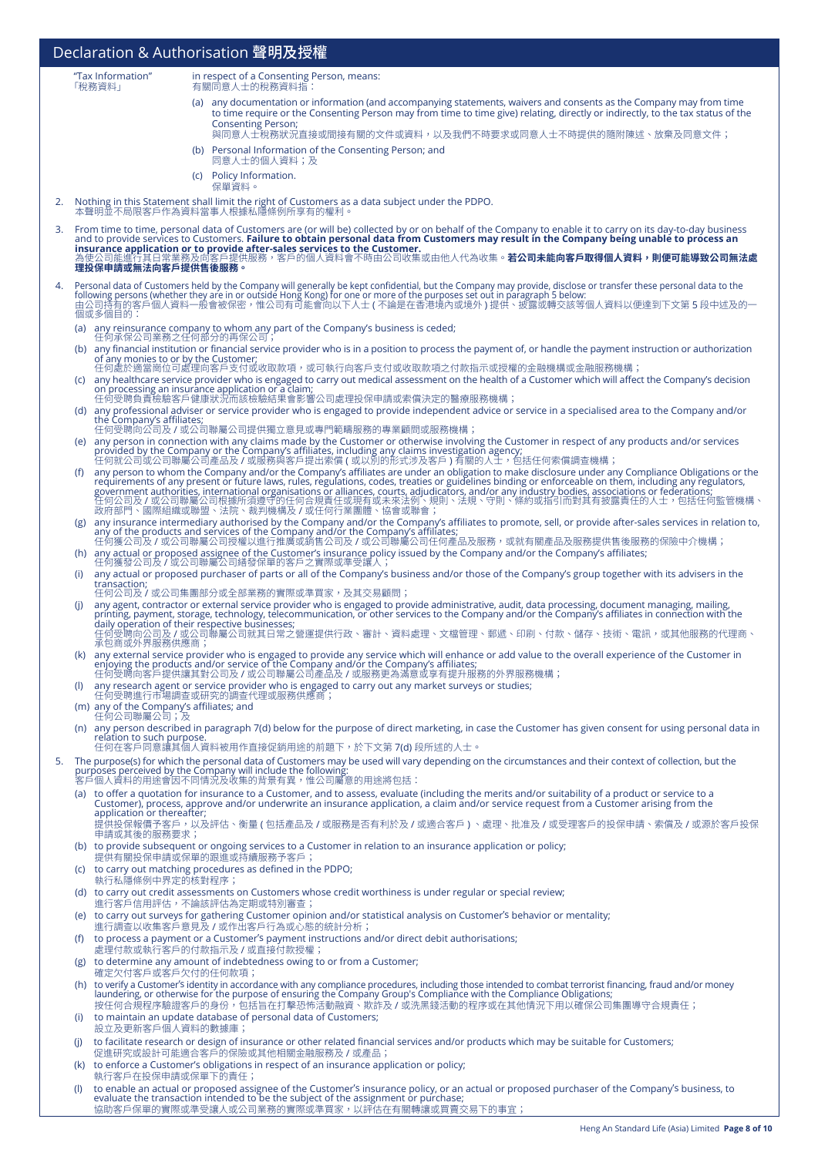|    |                                                        | Declaration & Authorisation 聲明及授權                                                                                                                                                                                                                                                                                                                      |
|----|--------------------------------------------------------|--------------------------------------------------------------------------------------------------------------------------------------------------------------------------------------------------------------------------------------------------------------------------------------------------------------------------------------------------------|
|    | "Tax Information"<br>「稅務資料」                            | in respect of a Consenting Person, means:<br>有關同意人士的稅務資料指:                                                                                                                                                                                                                                                                                             |
|    |                                                        | (a) any documentation or information (and accompanying statements, waivers and consents as the Company may from time                                                                                                                                                                                                                                   |
|    |                                                        | to time require or the Consenting Person may from time to time give) relating, directly or indirectly, to the tax status of the<br><b>Consenting Person;</b>                                                                                                                                                                                           |
|    |                                                        | 與同意人士稅務狀況直接或間接有關的文件或資料,以及我們不時要求或同意人士不時提供的隨附陳述、放棄及同意文件;<br>(b) Personal Information of the Consenting Person; and                                                                                                                                                                                                                                       |
|    |                                                        | 同意人士的個人資料;及                                                                                                                                                                                                                                                                                                                                            |
|    |                                                        | (c) Policy Information.<br>保單資料。                                                                                                                                                                                                                                                                                                                       |
| 2. |                                                        | Nothing in this Statement shall limit the right of Customers as a data subject under the PDPO.<br>本聲明並不局限客戶作為資料當事人根據私隱條例所享有的權利。                                                                                                                                                                                                                        |
|    |                                                        | 3. From time to time, personal data of Customers are (or will be) collected by or on behalf of the Company to enable it to carry on its day-to-day business                                                                                                                                                                                            |
|    |                                                        | and to provide services to Customers. <b>Failure to obtain personal data from Customers may result in the Company being unable to process an</b><br>insurance application or to provide after-sales services to the Customer.<br>為使公司能進行其日常業務及向客戶提供服務,客戶的個人資料會不時由公司收集或由他人代為收集。 <b>若公司未能向客戶取得個人資料,則便可能導致公司無法處</b>                                       |
|    | 理投保申請或無法向客戶提供售後服務。                                     |                                                                                                                                                                                                                                                                                                                                                        |
| 4. |                                                        | Personal data of Customers held by the Company will generally be kept confidential, but the Company may provide, disclose or transfer these personal data to the<br>following persons (whether they are in or outside Hong Kong) for one or more of the purposes set out in paragraph 5 below:                                                         |
|    | 個或多個目的:                                                | 由公司持有的客户個人資料一般會被保密,惟公司有可能會向以下人士 ( 不論是在香港境内或境外 ) 提供、披露或轉交該等個人資料以便達到下文第 5 段中述及的一                                                                                                                                                                                                                                                                         |
|    |                                                        | (a) any reinsurance company to whom any part of the Company's business is ceded;<br>任何承保公司業務之任何部分的再保公司;                                                                                                                                                                                                                                                |
|    |                                                        | (b) any financial institution or financial service provider who is in a position to process the payment of, or handle the payment instruction or authorization<br>of any monies to or by the Customer;                                                                                                                                                 |
|    |                                                        | 任何處於適當崗位可處理向客戶支付或收取款項,或可執行向客戶支付或收取款項之付款指示或授權的金融機構或金融服務機構;<br>(c) any healthcare service provider who is engaged to carry out medical assessment on the health of a Customer which will affect the Company's decision                                                                                                                                   |
|    |                                                        | on processing an insurance application or a claim;<br>任何受聘負責檢驗客戶健康狀況而該檢驗結果會影響公司處理投保申請或索償決定的醫療服務機構;                                                                                                                                                                                                                                                     |
|    | the Company's affiliates;                              | (d) any professional adviser or service provider who is engaged to provide independent advice or service in a specialised area to the Company and/or<br>任何受聘向公司及 / 或公司聯屬公司提供獨立意見或專門範疇服務的專業顧問或服務機構;                                                                                                                                                     |
|    |                                                        |                                                                                                                                                                                                                                                                                                                                                        |
|    |                                                        | (e) any person in connection with any claims made by the Customer or otherwise involving the Customer in respect of any products and/or services<br>provided by the Company or the Company's affiliates, including any claims in                                                                                                                       |
|    | (f)                                                    | any person to whom the Company and/or the Company's affiliates are under an obligation to make disclosure under any Compliance Obligations or the<br>requirements of any present or future laws, rules, regulations, codes, treaties or guidelines binding or enforceable on them, including any regulators,                                           |
|    |                                                        | . capar survey is a straighter, international organisations or alliances, courts, adjudicators, and/or any industry bodies, associations or federations;<br>在何公司及 / 或公司聯屬公司根據所須遵守的任何合規責任或現有或未來法例、規則、法規、守則、條約或指引而對其有披露責任的人士,包括任何監                                                                                                                       |
|    |                                                        | any insurance intermediary authorised by the Company and/or the Company's affiliates to promote, sell, or provide after-sales services in relation to,                                                                                                                                                                                                 |
|    |                                                        | any of the products and services of the Company and/or the Company's affiliates;<br>任何獲公司及 / 或公司聯屬公司授權以進行推廣或銷售公司及 / 或公司聯屬公司任何產品及服務,或就有關產品及服務提供售後服務的保險中介機構;<br>(h) any actual or proposed assignee of the Customer's insurance policy issued by the Company and/or the Company's affiliates;                                                            |
|    | (i)                                                    | 任何獲發公司及 / 或公司聯屬公司繕發保單的客戶之實際或準受讓人;<br>any actual or proposed purchaser of parts or all of the Company's business and/or those of the Company's group together with its advisers in the                                                                                                                                                                  |
|    | transaction;                                           | 任何公司及 / 或公司集團部分或全部業務的實際或準買家,及其交易顧問;                                                                                                                                                                                                                                                                                                                    |
|    | (i)                                                    | any agent, contractor or external service provider who is engaged to provide administrative, audit, data processing, document managing, mailing,<br>printing, payment, storage, technology, telecommunication, or other services to the Company and/or the Company's affiliates in connection with the daily operation of their respective businesses; |
|    |                                                        | 任何受聘向公司及 / 或公司聯屬公司就其日常之營運提供行政、審計、資料處理、文檔管理、郵遞、印刷、付款、儲存、技術、電訊,或其他服務的代理商、<br>承包商或外界服務供應商;                                                                                                                                                                                                                                                                |
|    |                                                        | (k) any external service provider who is engaged to provide any service which will enhance or add value to the overall experience of the Customer in                                                                                                                                                                                                   |
|    |                                                        | enjoying the products and/or service of the Company and/or the Company's affiliates;<br>任何受聘向客戶提供讓其對公司及 / 或公司聯屬公司產品及 / 或服務更為滿意或享有提升服務的外界服務機構;                                                                                                                                                                                                          |
|    |                                                        | any research agent or service provider who is engaged to carry out any market surveys or studies;<br>任何受聘進行市場調查或研究的調查代理或服務供應商;                                                                                                                                                                                                                         |
|    | (m) any of the Company's affiliates; and<br>任何公司聯屬公司;及 |                                                                                                                                                                                                                                                                                                                                                        |
|    | relation to such purpose.                              | (n) any person described in paragraph 7(d) below for the purpose of direct marketing, in case the Customer has given consent for using personal data in<br>任何在客户同意讓其個人資料被用作直接促銷用途的前題下,於下文第 7(d) 段所述的人士。                                                                                                                                                |
| 5. |                                                        | The purpose(s) for which the personal data of Customers may be used will vary depending on the circumstances and their context of collection, but the                                                                                                                                                                                                  |
|    |                                                        | purposes perceived by the Company will include the following:<br>客戶個人資料的用途會因不同情況及收集的背景有異,惟公司屬意的用途將包括:                                                                                                                                                                                                                                                  |
|    | application or thereafter;                             | (a) to offer a quotation for insurance to a Customer, and to assess, evaluate (including the merits and/or suitability of a product or service to a<br>Customer), process, approve and/or underwrite an insurance application, a claim and/or service request from a Customer arising from the                                                         |
|    | 申請或其後的服務要求;                                            | 提供投保報價予客戶,以及評估、衡量 (包括產品及 / 或服務是否有利於及 / 或適合客戶 )、處理、批准及 / 或受理客戶的投保申請、索償及 / 或源於客戶投保                                                                                                                                                                                                                                                                       |
|    |                                                        | (b) to provide subsequent or ongoing services to a Customer in relation to an insurance application or policy;                                                                                                                                                                                                                                         |
|    |                                                        | 提供有關投保申請或保單的跟進或持續服務予客戶;<br>(c) to carry out matching procedures as defined in the PDPO;                                                                                                                                                                                                                                                                |
|    | 執行私隱條例中界定的核對程序;                                        | (d) to carry out credit assessments on Customers whose credit worthiness is under regular or special review;                                                                                                                                                                                                                                           |
|    |                                                        | 進行客戶信用評估,不論該評估為定期或特別審查;<br>(e) to carry out surveys for gathering Customer opinion and/or statistical analysis on Customer's behavior or mentality;                                                                                                                                                                                                    |
|    |                                                        | 進行調查以收集客戶意見及 / 或作出客戶行為或心態的統計分析;<br>(f) to process a payment or a Customer's payment instructions and/or direct debit authorisations;                                                                                                                                                                                                                   |
|    |                                                        | 處理付款或執行客戶的付款指示及 / 或直接付款授權;                                                                                                                                                                                                                                                                                                                             |
|    |                                                        | (g) to determine any amount of indebtedness owing to or from a Customer;<br>確定欠付客戶或客戶欠付的任何款項;                                                                                                                                                                                                                                                          |
|    |                                                        | (h) to verify a Customer's identity in accordance with any compliance procedures, including those intended to combat terrorist financing, fraud and/or money<br>laundering, or otherwise for the purpose of ensuring the Company Group's Compliance with the Compliance Obligations;                                                                   |
|    |                                                        | 按任何合規程序驗證客戶的身份,包括旨在打擊恐怖活動融資、欺詐及 / 或洗黑錢活動的程序或在其他情況下用以確保公司集團導守合規責任;<br>(i) to maintain an update database of personal data of Customers;                                                                                                                                                                                                                 |
|    | 設立及更新客戶個人資料的數據庫;                                       | to facilitate research or design of insurance or other related financial services and/or products which may be suitable for Customers;                                                                                                                                                                                                                 |
|    |                                                        | 促進研究或設計可能適合客戶的保險或其他相關金融服務及 / 或產品;<br>(k) to enforce a Customer's obligations in respect of an insurance application or policy;                                                                                                                                                                                                                         |
|    |                                                        | 執行客戶在投保申請或保單下的責任;                                                                                                                                                                                                                                                                                                                                      |
|    |                                                        | to enable an actual or proposed assignee of the Customer's insurance policy, or an actual or proposed purchaser of the Company's business, to<br>evaluate the transaction intended to be the subject of the assignment or purchase;                                                                                                                    |

協助客戶保單的實際或準受讓人或公司業務的實際或準買家,以評估在有關轉讓或買賣交易下的事宜;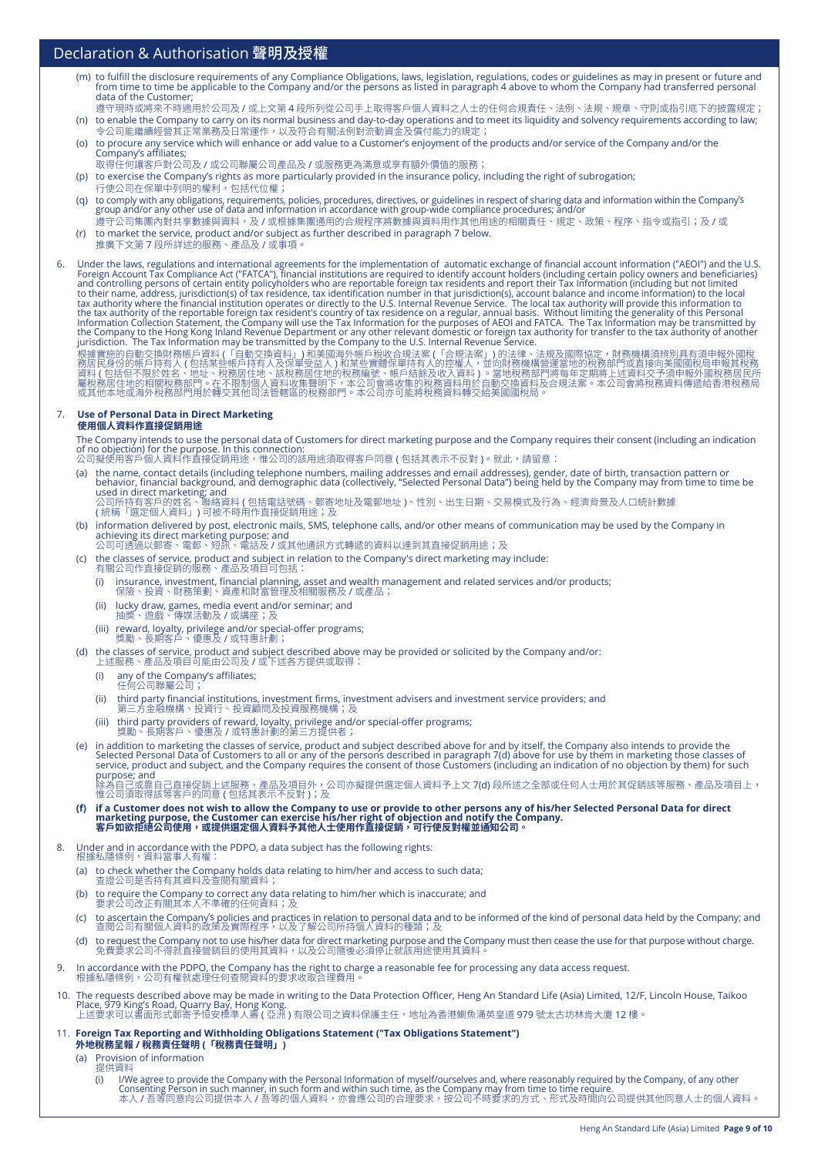### Declaration & Authorisation 聲明及授權

- (m) to fulfill the disclosure requirements of any Compliance Obligations, laws, legislation, regulations, codes or guidelines as may in present or future and<br>from time to time be applicable to the Company and/or the person
- 遵守現時或將來不時適用於公司及 / 或上文第 4 段所列從公司手上取得客戶個人資料之人士的任何合規責任、法例、法規、規章、守則或指引底下的披露規定; (n) to enable the Company to carry on its normal business and day-to-day operations and to meet its liquidity and solvency requirements according to law;<br>令公司能繼續經營其正常業務及日常運作,以及符合有關法例對流動資金及償付能力的規定;
- 令公司能繼續經營其正常業務及日常運作,以及符合有關法例對流動資金及償付能力的規定; (o) to procure any service which will enhance or add value to a Customer's enjoyment of the products and/or service of the Company and/or the Company's affiliates;
- 取得任何讓客戶對公司及 / 或公司聯屬公司產品及 / 或服務更為滿意或享有額外價值的服務;
- (p) to exercise the Company's rights as more particularly provided in the insurance policy, including the right of subrogation; 行使公司在保單中列明的權利,包括代位權;
- (q) to comply with any obligations, requirements, policies, procedures, directives, or guidelines in respect of sharing data and information within the Company's<br>group and/or any other use of data and information in accord 遵守公司集團內對共享數據與資料,及 <mark>/</mark> 或根據集團通用的合規程序將數據與資料用作其他用途的相關責任、規定、政策、程序、指令或指引;及 / 或
- (r) to market the service, product and/or subject as further described in paragraph 7 below.
- 推廣下文第 7 段所詳述的服務、產品及 / 或事項。

6. Under the laws, regulations and international agreements for the implementation of automatic exchange of financial account information ("AEOI") and the U.S.<br>Foreign Account Tax Compliance Act ("FATCA"), financial instit

根據實施的自動交換財務帳戶資料 (「自動交換資料」) 和美國海外帳戶稅收合規法案 (「合規法案」) 的法律、法規及國際協定,財務機構須辨別具有須申報外國稅<br>務居民身份的帳戶持有人 ( 包括某些帳戶持有人及保單受益人 ) 和某些實體保單持有人的控權人,並向財務機構營運當地的稅務部門或直接向美國國稅局申報其稅務<br>資料 ( 包括但不限於姓名、地址、稅務居住地、該稅務居住地的稅務編號、帳戶結餘及收入資料 ) 。當地稅務部門將每年的期外部門述資料交

### 7. **Use of Personal Data in Direct Marketing**

**使用個人資料作直接促銷用途**

The Company intends to use the personal data of Customers for direct marketing purpose and the Company requires their consent (including an indication<br>of no objection) for the purpose. In this connection:<br>公司擬使用客戶個人資料作直接促銷

- (a) the name, contact details (including telephone numbers, mailing addresses and email addresses), gender, date of birth, transaction pattern or<br>behavior, financial background, and demographic data (collectively, "Selecte used in direct marketing; and<br>公司所持有客户的姓名、聯絡資料 ( 包括電話號碼、郵寄地址及電郵地址 )、性別、出生日期、交易模式及行為、經濟背景及人口統計數據<br>( 統稱「選定個人資料」) 可被不時用作直接促銷用途;及
- (b) information delivered by post, electronic mails, SMS, telephone calls, and/or other means of communication may be used by the Company in<br>achieving its direct marketing purpose; and<br>公司可透過以郵寄、電郵、短訊、電話及 / 或其他通訊方式轉遞的資料以達到
- (c) the classes of service, product and subject in relation to the Company's direct marketing may include: 有關公司作直接促銷的服務、產品及項目可包括:
	- (i) insurance, investment, financial planning, asset and wealth management and related services and/or products; 保險、投資、財務策劃、資產和財富管理及相關服務及 / 或產品;
	- (ii) lucky draw, games, media event and/or seminar; and<br> 抽獎、遊戲、傳媒活動及 / 或講座;及
	-
	- (iii) reward, loyalty, privilege and/or special-offer programs; 獎勵、長期客戶、優惠及 / 或特惠計劃;
- (d) the classes of service, product and subject described above may be provided or solicited by the Company and/or: 上述服務、產品及項目可能由公司及 / 或下述各方提供或取得:
	- (i) any of the Company's affiliates; 任何公司聯屬公司;
	- (ii) third party financial institutions, investment firms, investment advisers and investment service providers; and
	- 第<sub>二</sub>万金融機構、投資行、投資顧問及投資服務機構;及
	- (iii) third party providers of reward, loyalty, privilege and/or special-offer programs; 獎勵、長期客戶、優惠及 / 或特惠計劃的第三方提供者;
- e) in addition to marketing the classes of service, product and subject described above for and by itself, the Company also intends to provide the<br>Selected Personal Data of Customers to all or any of the persons described purpose; and 除為自己或靠自己直接促銷上述服務、產品及項目外,公司亦擬提供選定個人資料予上文 <mark>7(d)</mark> 段所述之全部或任何人士用於其促銷該等服務、產品及項目上,<br>惟公司須取得該等客戶的同意 ( 包括其表示不反對 );及
- (f) if a Customer does not wish to allow the Company to use or provide to other persons any of his/her Selected Personal Data for direct<br>marketing purpose, the Customer can exercise his/her right of objection and notify th **客戶如欲拒絕公司使用,或提供選定個人資料予其他人士使用作直接促銷,可行使反對權並通知公司。**
- 8. Under and in accordance with the PDPO, a data subject has the following rights:
	- 根據私隱條例,資料富事人有罹: (a) to check whether the Company holds data relating to him/her and access to such data;
	- 查證公司是否持有其資料及查閱有關資料; (b) to require the Company to correct any data relating to him/her which is inaccurate; and
	- 要<mark>双公司改止有關其本人</mark>个準確的仕何資料;及
	- (c) to ascertain the Company's policies and practices in relation to personal data and to be informed of the kind of personal data held by the Company; and 查閱公司有關個人資料的政策及實際程<mark>序,以</mark>及了解公司所持個人資料的種類;及
	- (d) to request the Company not to use his/her data for direct marketing purpose and the Company must then cease the use for that purpose without charge. 免費要求公司不得就直接營銷目的使用其資料,以及公司隨後必須停止就該用途使用其資料。
- 9. In accordance with the PDPO, the Company has the right to charge a reasonable fee for processing any data access request. 根據私隱條例,公司有權就處理任何查閱資料的要求收取合理費用。
- 10. The requests described above may be made in writing to the Data Protection Officer, Heng An Standard Life (Asia) Limited, 12/F, Lincoln House, Taikoo Place, 979 King's Road, Quarry Bay, Hong Kong. <br>上述要求可以書面形式郵寄予恒安標準人壽 ( 亞洲 ) 有限公司之資料保護主任,地址為香港鰂魚涌英皇道 979 號太古坊林肯大廈 12 樓。
- 11. **Foreign Tax Reporting and Withholding Obligations Statement ("Tax Obligations Statement") 外地稅務呈報 / 稅務責任聲明 (「稅務責任聲明」)** 
	- (a) Provision of information
		- 提供資料<br>(i) I/W
			- (i) l/We agree to provide the Company with the Personal Information of myself/ourselves and, where reasonably required by the Company, of any other<br>Consenting Person in such manner, in such form and within such time, as th 本人 / 吾等同意向公司提供本人 / 吾等的個人資料,亦會應公司的合理要求,按公司不時要求的方式、形式及時間向公司提供其他同意人士的個人資料。